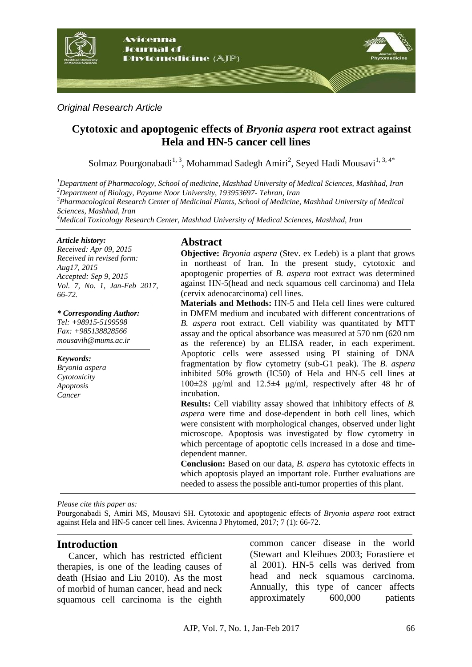

*Original Research Article*

# **Cytotoxic and apoptogenic effects of** *Bryonia aspera* **root extract against Hela and HN-5 cancer cell lines**

Solmaz Pourgonabadi<sup>1, 3</sup>, Mohammad Sadegh Amiri<sup>2</sup>, Seyed Hadi Mousavi<sup>1, 3, 4\*</sup>

*Department of Pharmacology, School of medicine, Mashhad University of Medical Sciences, Mashhad, Iran Department of Biology, Payame Noor University, 193953697- Tehran, Iran Pharmacological Research Center of Medicinal Plants, School of Medicine, Mashhad University of Medical Sciences, Mashhad, Iran Medical Toxicology Research Center, Mashhad University of Medical Sciences, Mashhad, Iran*

#### *Article history:*

*Received: Apr 09, 2015 Received in revised form: Aug17, 2015 Accepted: Sep 9, 2015 Vol. 7, No. 1, Jan-Feb 2017, 66-72.*

*\* Corresponding Author: Tel: +98915-5199598 Fax: +985138828566 mousavih@mums.ac.ir*

*Keywords: Bryonia aspera Cytotoxicity Apoptosis Cancer*

## **Abstract**

**Objective:** *Bryonia aspera* (Stev. ex Ledeb) is a plant that grows in northeast of Iran. In the present study, cytotoxic and apoptogenic properties of *B. aspera* root extract was determined against HN-5(head and neck squamous cell carcinoma) and Hela (cervix adenocarcinoma) cell lines.

**Materials and Methods:** HN-5 and Hela cell lines were cultured in DMEM medium and incubated with different concentrations of *B. aspera* root extract. Cell viability was quantitated by MTT assay and the optical absorbance was measured at 570 nm (620 nm as the reference) by an ELISA reader, in each experiment. Apoptotic cells were assessed using PI staining of DNA fragmentation by flow cytometry (sub-G1 peak). The *B. aspera* inhibited 50% growth (IC50) of Hela and HN-5 cell lines at 100±28 μg/ml and 12.5±4 μg/ml, respectively after 48 hr of incubation.

**Results:** Cell viability assay showed that inhibitory effects of *B. aspera* were time and dose-dependent in both cell lines, which were consistent with morphological changes, observed under light microscope. Apoptosis was investigated by flow cytometry in which percentage of apoptotic cells increased in a dose and timedependent manner.

**Conclusion:** Based on our data, *B. aspera* has cytotoxic effects in which apoptosis played an important role. Further evaluations are needed to assess the possible anti-tumor properties of this plant.

*Please cite this paper as:* 

Pourgonabadi S, Amiri MS, Mousavi SH. Cytotoxic and apoptogenic effects of *Bryonia aspera* root extract against Hela and HN-5 cancer cell lines. Avicenna J Phytomed, 2017; 7 (1): 66-72.

### **Introduction**

Cancer, which has restricted efficient therapies, is one of the leading causes of death (Hsiao and Liu 2010). As the most of morbid of human cancer, head and neck squamous cell carcinoma is the eighth common cancer disease in the world (Stewart and Kleihues 2003; Forastiere et al 2001). HN-5 cells was derived from head and neck squamous carcinoma. Annually, this type of cancer affects approximately 600,000 patients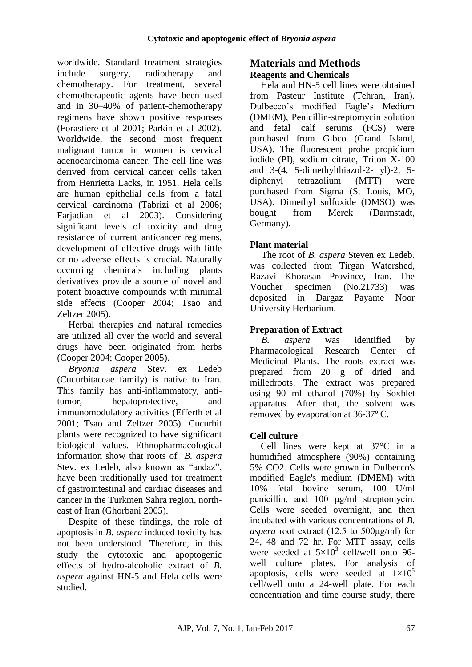worldwide. Standard treatment strategies include surgery, radiotherapy and chemotherapy. For treatment, several chemotherapeutic agents have been used and in 30–40% of patient-chemotherapy regimens have shown positive responses (Forastiere et al 2001; Parkin et al 2002). Worldwide, the second most frequent malignant tumor in women is cervical adenocarcinoma cancer. The cell line was derived from cervical cancer cells taken from Henrietta Lacks, in 1951. Hela cells are human epithelial cells from a fatal cervical carcinoma (Tabrizi et al 2006; Farjadian et al 2003). Considering significant levels of toxicity and drug resistance of current anticancer regimens, development of effective drugs with little or no adverse effects is crucial. Naturally occurring chemicals including plants derivatives provide a source of novel and potent bioactive compounds with minimal side effects (Cooper 2004; Tsao and Zeltzer 2005).

Herbal therapies and natural remedies are utilized all over the world and several drugs have been originated from herbs (Cooper 2004; Cooper 2005).

*Bryonia aspera* Stev. ex Ledeb (Cucurbitaceae family) is native to Iran. This family has anti-inflammatory, antitumor, hepatoprotective, and immunomodulatory activities (Efferth et al 2001; Tsao and Zeltzer 2005). Cucurbit plants were recognized to have significant biological values. Ethnopharmacological information show that roots of *B. aspera* Stev. ex Ledeb, also known as "andaz", have been traditionally used for treatment of gastrointestinal and cardiac diseases and cancer in the Turkmen Sahra region, northeast of Iran (Ghorbani 2005).

Despite of these findings, the role of apoptosis in *B. aspera* induced toxicity has not been understood. Therefore, in this study the cytotoxic and apoptogenic effects of hydro-alcoholic extract of *B. aspera* against HN-5 and Hela cells were studied.

## **Materials and Methods Reagents and Chemicals**

Hela and HN-5 cell lines were obtained from Pasteur Institute (Tehran, Iran). Dulbecco's modified Eagle's Medium (DMEM), Penicillin-streptomycin solution and fetal calf serums (FCS) were purchased from Gibco (Grand Island, USA). The fluorescent probe propidium iodide (PI), sodium citrate, Triton X-100 and 3-(4, 5-dimethylthiazol-2- yl)-2, 5 diphenyl tetrazolium (MTT) were purchased from Sigma (St Louis, MO, USA). Dimethyl sulfoxide (DMSO) was bought from Merck (Darmstadt, Germany).

## **Plant material**

The root of *B. aspera* Steven ex Ledeb. was collected from Tirgan Watershed, Razavi Khorasan Province, Iran. The Voucher specimen (No.21733) was deposited in Dargaz Payame Noor University Herbarium.

## **Preparation of Extract**

*B. aspera* was identified by Pharmacological Research Center of Medicinal Plants. The roots extract was prepared from 20 g of dried and milledroots. The extract was prepared using 90 ml ethanol (70%) by Soxhlet apparatus. After that, the solvent was removed by evaporation at 36-37º C.

### **Cell culture**

Cell lines were kept at 37°C in a humidified atmosphere (90%) containing 5% CO2. Cells were grown in Dulbecco's modified Eagle's medium (DMEM) with 10% fetal bovine serum, 100 U/ml penicillin, and 100 μg/ml streptomycin. Cells were seeded overnight, and then incubated with various concentrations of *B. aspera* root extract (12.5 to 500μg/ml) for 24, 48 and 72 hr. For MTT assay, cells were seeded at  $5\times10^3$  cell/well onto 96well culture plates. For analysis of apoptosis, cells were seeded at  $1\times10^5$ cell/well onto a 24-well plate. For each concentration and time course study, there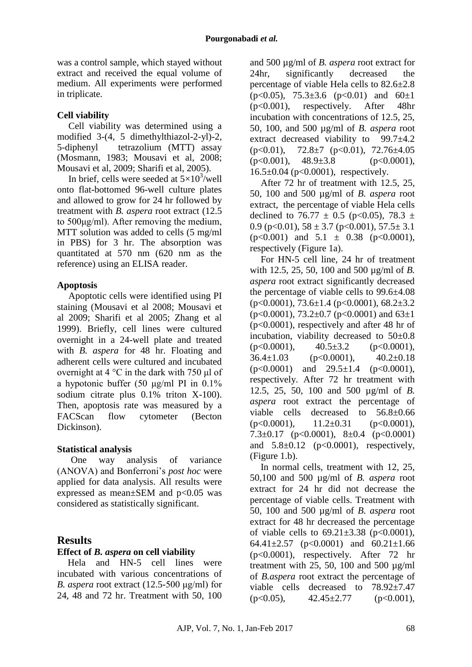was a control sample, which stayed without extract and received the equal volume of medium. All experiments were performed in triplicate.

## **Cell viability**

Cell viability was determined using a modified 3-(4, 5 dimethylthiazol-2-yl)-2, 5-diphenyl tetrazolium (MTT) assay (Mosmann, 1983; Mousavi et al, 2008; Mousavi et al, 2009; Sharifi et al, 2005).

In brief, cells were seeded at  $5\times10^3$ /well onto flat-bottomed 96-well culture plates and allowed to grow for 24 hr followed by treatment with *B. aspera* root extract (12.5 to 500μg/ml). After removing the medium, MTT solution was added to cells (5 mg/ml in PBS) for 3 hr. The absorption was quantitated at 570 nm (620 nm as the reference) using an ELISA reader.

### **Apoptosis**

Apoptotic cells were identified using PI staining (Mousavi et al 2008; Mousavi et al 2009; Sharifi et al 2005; Zhang et al 1999). Briefly, cell lines were cultured overnight in a 24-well plate and treated with *B. aspera* for 48 hr. Floating and adherent cells were cultured and incubated overnight at 4 °C in the dark with 750 μl of a hypotonic buffer (50 μg/ml PI in 0.1% sodium citrate plus 0.1% triton X-100). Then, apoptosis rate was measured by a FACScan flow cytometer (Becton Dickinson).

### **Statistical analysis**

One way analysis of variance (ANOVA) and Bonferroni's *post hoc* were applied for data analysis. All results were expressed as mean $\pm$ SEM and  $p$ <0.05 was considered as statistically significant.

## **Results**

### **Effect of** *B. aspera* **on cell viability**

Hela and HN-5 cell lines were incubated with various concentrations of *B. aspera* root extract (12.5-500 μg/ml) for 24, 48 and 72 hr. Treatment with 50, 100 and 500 µg/ml of *B. aspera* root extract for 24hr, significantly decreased the percentage of viable Hela cells to 82.6±2.8  $(p<0.05)$ , 75.3 $\pm$ 3.6 (p $< 0.01$ ) and 60 $\pm$ 1 (p<0.001), respectively. After 48hr incubation with concentrations of 12.5, 25, 50, 100, and 500 µg/ml of *B. aspera* root extract decreased viability to  $99.7 \pm 4.2$  $(p<0.01)$ , 72.8 $\pm$ 7 (p $<$ 0.01), 72.76 $\pm$ 4.05  $(p<0.001)$ ,  $48.9\pm3.8$  ( $p<0.0001$ ), 16.5±0.04 (p<0.0001), respectively.

After 72 hr of treatment with 12.5, 25, 50, 100 and 500 µg/ml of *B. aspera* root extract, the percentage of viable Hela cells declined to 76.77  $\pm$  0.5 (p<0.05), 78.3  $\pm$ 0.9 (p<0.01),  $58 \pm 3.7$  (p<0.001),  $57.5 \pm 3.1$  $(p<0.001)$  and  $5.1 \pm 0.38$   $(p<0.0001)$ , respectively (Figure 1a).

For HN-5 cell line, 24 hr of treatment with 12.5, 25, 50, 100 and 500 µg/ml of *B. aspera* root extract significantly decreased the percentage of viable cells to 99.6±4.08  $(p<0.0001)$ , 73.6 $\pm$ 1.4 (p $< 0.0001$ ), 68.2 $\pm$ 3.2  $(p<0.0001)$ , 73.2 $\pm$ 0.7 (p $<$ 0.0001) and 63 $\pm$ 1 (p<0.0001), respectively and after 48 hr of incubation, viability decreased to 50±0.8  $(p<0.0001)$ ,  $40.5\pm3.2$   $(p<0.0001)$ ,  $36.4 \pm 1.03$  (p<0.0001),  $40.2 \pm 0.18$  $(p<0.0001)$  and  $29.5\pm1.4$   $(p<0.0001)$ , respectively. After 72 hr treatment with 12.5, 25, 50, 100 and 500 µg/ml of *B. aspera* root extract the percentage of viable cells decreased to 56.8±0.66  $(p<0.0001)$ ,  $11.2\pm0.31$   $(p<0.0001)$ , 7.3 $\pm$ 0.17 (p<0.0001), 8 $\pm$ 0.4 (p<0.0001) and  $5.8 \pm 0.12$  (p<0.0001), respectively, (Figure 1.b).

In normal cells, treatment with 12, 25, 50,100 and 500 µg/ml of *B. aspera* root extract for 24 hr did not decrease the percentage of viable cells. Treatment with 50, 100 and 500 µg/ml of *B. aspera* root extract for 48 hr decreased the percentage of viable cells to  $69.21 \pm 3.38$  ( $p < 0.0001$ ), 64.41 $\pm$ 2.57 (p<0.0001) and 60.21 $\pm$ 1.66 (p<0.0001), respectively. After 72 hr treatment with 25, 50, 100 and 500  $\mu$ g/ml of *B.aspera* root extract the percentage of viable cells decreased to 78.92±7.47  $(p<0.05)$ ,  $42.45\pm2.77$   $(p<0.001)$ ,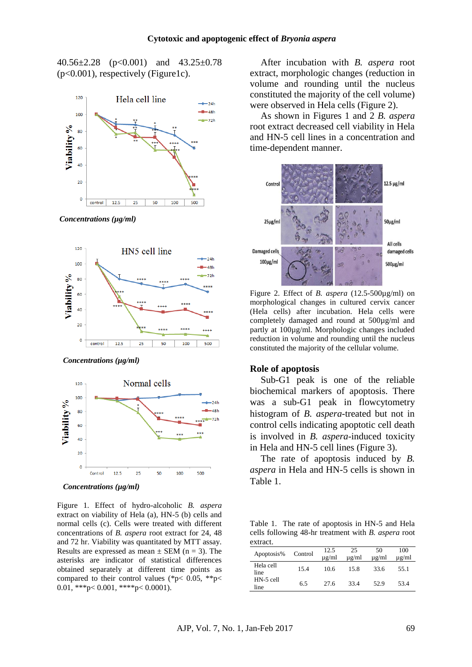40.56±2.28 (p<0.001) and 43.25±0.78  $(p<0.001)$ , respectively (Figure1c).



*Concentrations (µg/ml)*



*Concentrations (µg/ml)*



*Concentrations (µg/ml)*

Figure 1. Effect of hydro-alcoholic *B. aspera* extract on viability of Hela (a), HN-5 (b) cells and normal cells (c). Cells were treated with different concentrations of *B. aspera* root extract for 24, 48 and 72 hr. Viability was quantitated by MTT assay. Results are expressed as mean  $\pm$  SEM (n = 3). The asterisks are indicator of statistical differences obtained separately at different time points as compared to their control values (\*p< 0.05, \*\*p< 0.01, \*\*\*p< 0.001, \*\*\*\*p< 0.0001).

After incubation with *B. aspera* root extract, morphologic changes (reduction in volume and rounding until the nucleus constituted the majority of the cell volume) were observed in Hela cells (Figure 2).

As shown in Figures 1 and 2 *B. aspera* root extract decreased cell viability in Hela and HN-5 cell lines in a concentration and time-dependent manner.



Figure 2. Effect of *B. aspera* (12.5-500µg/ml) on morphological changes in cultured cervix cancer (Hela cells) after incubation. Hela cells were completely damaged and round at 500µg/ml and partly at 100µg/ml. Morphologic changes included reduction in volume and rounding until the nucleus constituted the majority of the cellular volume.

#### **Role of apoptosis**

Sub-G1 peak is one of the reliable biochemical markers of apoptosis. There was a sub-G1 peak in flowcytometry histogram of *B. aspera*-treated but not in control cells indicating apoptotic cell death is involved in *B. aspera*-induced toxicity in Hela and HN-5 cell lines (Figure 3).

The rate of apoptosis induced by *B. aspera* in Hela and HN-5 cells is shown in Table 1.

Table 1. The rate of apoptosis in HN-5 and Hela cells following 48-hr treatment with *B. aspera* root extract.

| Apoptosis%        | Control | 12.5<br>$\mu$ g/ml | 25<br>$\mu$ g/ml | 50<br>$\mu$ g/ml | 100<br>$\mu$ g/ml |
|-------------------|---------|--------------------|------------------|------------------|-------------------|
| Hela cell<br>line | 15.4    | 10.6               | 15.8             | 33.6             | 55.1              |
| HN-5 cell<br>line | 6.5     | 27.6               | 33.4             | 52.9             | 53.4              |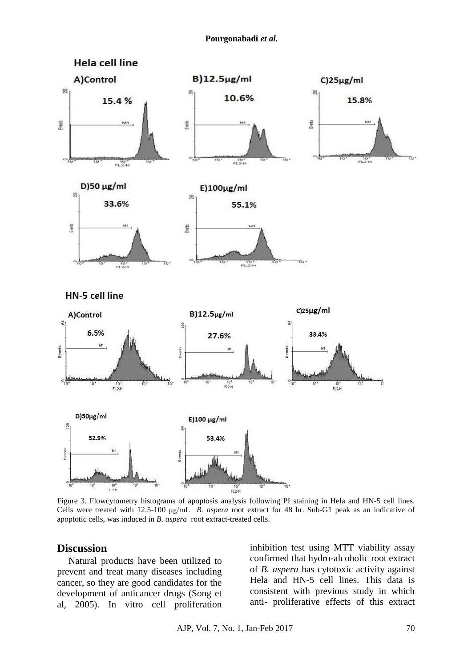

Figure 3. Flowcytometry histograms of apoptosis analysis following PI staining in Hela and HN-5 cell lines. Cells were treated with 12.5-100 μg/mL *B. aspera* root extract for 48 hr. Sub-G1 peak as an indicative of apoptotic cells, was induced in *B. aspera* root extract-treated cells.

#### **Discussion**

Natural products have been utilized to prevent and treat many diseases including cancer, so they are good candidates for the development of anticancer drugs (Song et al, 2005). In vitro cell proliferation inhibition test using MTT viability assay confirmed that hydro-alcoholic root extract of *B. aspera* has cytotoxic activity against Hela and HN-5 cell lines. This data is consistent with previous study in which anti- proliferative effects of this extract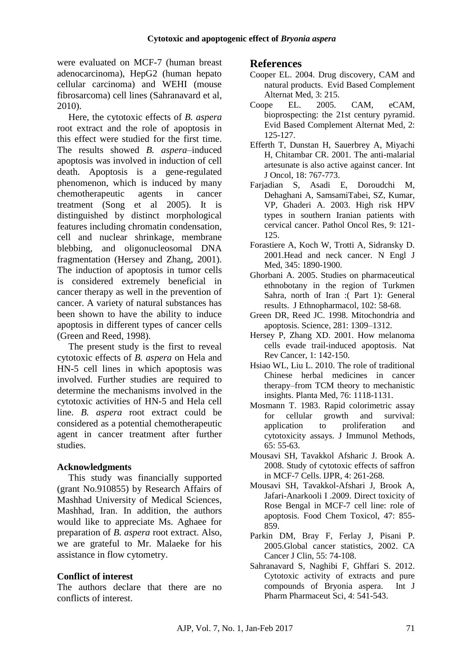were evaluated on MCF-7 (human breast adenocarcinoma), HepG2 (human hepato cellular carcinoma) and WEHI (mouse fibrosarcoma) cell lines (Sahranavard et al, 2010).

Here, the cytotoxic effects of *B. aspera* root extract and the role of apoptosis in this effect were studied for the first time. The results showed *B. aspera*–induced apoptosis was involved in induction of cell death. Apoptosis is a gene-regulated phenomenon, which is induced by many chemotherapeutic agents in cancer treatment (Song et al 2005). It is distinguished by distinct morphological features including chromatin condensation, cell and nuclear shrinkage, membrane blebbing, and oligonucleosomal DNA fragmentation (Hersey and Zhang, 2001). The induction of apoptosis in tumor cells is considered extremely beneficial in cancer therapy as well in the prevention of cancer. A variety of natural substances has been shown to have the ability to induce apoptosis in different types of cancer cells (Green and Reed, 1998).

The present study is the first to reveal cytotoxic effects of *B. aspera* on Hela and HN-5 cell lines in which apoptosis was involved. Further studies are required to determine the mechanisms involved in the cytotoxic activities of HN-5 and Hela cell line. *B. aspera* root extract could be considered as a potential chemotherapeutic agent in cancer treatment after further studies.

### **Acknowledgments**

This study was financially supported (grant No.910855) by Research Affairs of Mashhad University of Medical Sciences, Mashhad, Iran. In addition, the authors would like to appreciate Ms. Aghaee for preparation of *B. aspera* root extract. Also, we are grateful to Mr. Malaeke for his assistance in flow cytometry.

### **Conflict of interest**

The authors declare that there are no conflicts of interest.

# **References**

- Cooper EL. 2004. Drug discovery, CAM and natural products. Evid Based Complement Alternat Med, 3: 215.
- Coope EL. 2005. CAM, eCAM, bioprospecting: the 21st century pyramid. Evid Based Complement Alternat Med, 2: 125-127.
- Efferth T, Dunstan H, Sauerbrey A, Miyachi H, Chitambar CR. 2001. The anti-malarial artesunate is also active against cancer. Int J Oncol, 18: 767-773.
- Farjadian S, Asadi E, Doroudchi M, Dehaghani A, SamsamiTabei, SZ, Kumar, VP, Ghaderi A. 2003. High risk HPV types in southern Iranian patients with cervical cancer. Pathol Oncol Res, 9: 121- 125.
- Forastiere A, Koch W, Trotti A, Sidransky D. 2001.Head and neck cancer. N Engl J Med, 345: 1890-1900.
- Ghorbani A. 2005. Studies on pharmaceutical ethnobotany in the region of Turkmen Sahra, north of Iran :( Part 1): General results. J Ethnopharmacol, 102: 58-68.
- Green DR, Reed JC. 1998. Mitochondria and apoptosis. Science, 281: 1309–1312.
- Hersey P, Zhang XD. 2001. How melanoma cells evade trail-induced apoptosis. Nat Rev Cancer, 1: 142-150.
- Hsiao WL, Liu L. 2010. The role of traditional Chinese herbal medicines in cancer therapy–from TCM theory to mechanistic insights. Planta Med, 76: 1118-1131.
- Mosmann T. 1983. Rapid colorimetric assay for cellular growth and survival: application to proliferation and cytotoxicity assays. J Immunol Methods, 65: 55-63.
- Mousavi SH, Tavakkol Afsharic J. Brook A. 2008. Study of cytotoxic effects of saffron in MCF-7 Cells. IJPR, 4: 261-268.
- Mousavi SH, Tavakkol-Afshari J, Brook A, Jafari-Anarkooli I .2009. Direct toxicity of Rose Bengal in MCF-7 cell line: role of apoptosis. Food Chem Toxicol, 47: 855- 859.
- Parkin DM, Bray F, Ferlay J, Pisani P. 2005.Global cancer statistics, 2002. CA Cancer J Clin, 55: 74-108.
- Sahranavard S, Naghibi F, Ghffari S. 2012. Cytotoxic activity of extracts and pure compounds of Bryonia aspera. Int J Pharm Pharmaceut Sci, 4: 541-543.